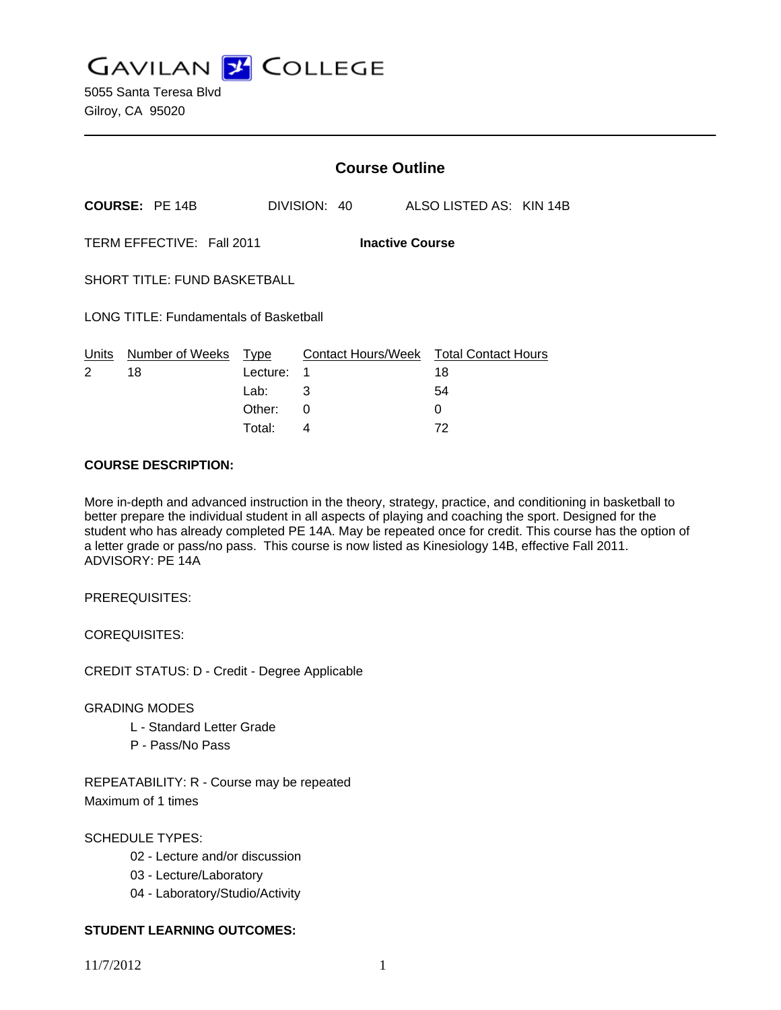**GAVILAN J COLLEGE** 

|                                                     |                       | <b>Course Outline</b> |   |              |  |                                              |  |
|-----------------------------------------------------|-----------------------|-----------------------|---|--------------|--|----------------------------------------------|--|
|                                                     | <b>COURSE: PE 14B</b> |                       |   | DIVISION: 40 |  | ALSO LISTED AS: KIN 14B                      |  |
| TERM EFFECTIVE: Fall 2011<br><b>Inactive Course</b> |                       |                       |   |              |  |                                              |  |
| <b>SHORT TITLE: FUND BASKETBALL</b>                 |                       |                       |   |              |  |                                              |  |
| <b>LONG TITLE: Fundamentals of Basketball</b>       |                       |                       |   |              |  |                                              |  |
| Units<br>2                                          | Number of Weeks<br>18 | Type<br>Lecture:      | 1 |              |  | Contact Hours/Week Total Contact Hours<br>18 |  |
|                                                     |                       | Lab:                  | 3 |              |  | 54                                           |  |
|                                                     |                       | Other:                | 0 |              |  | 0                                            |  |

Total: 4 72

### **COURSE DESCRIPTION:**

More in-depth and advanced instruction in the theory, strategy, practice, and conditioning in basketball to better prepare the individual student in all aspects of playing and coaching the sport. Designed for the student who has already completed PE 14A. May be repeated once for credit. This course has the option of a letter grade or pass/no pass. This course is now listed as Kinesiology 14B, effective Fall 2011. ADVISORY: PE 14A

PREREQUISITES:

COREQUISITES:

CREDIT STATUS: D - Credit - Degree Applicable

## GRADING MODES

- L Standard Letter Grade
- P Pass/No Pass

REPEATABILITY: R - Course may be repeated Maximum of 1 times

SCHEDULE TYPES:

- 02 Lecture and/or discussion
- 03 Lecture/Laboratory
- 04 Laboratory/Studio/Activity

# **STUDENT LEARNING OUTCOMES:**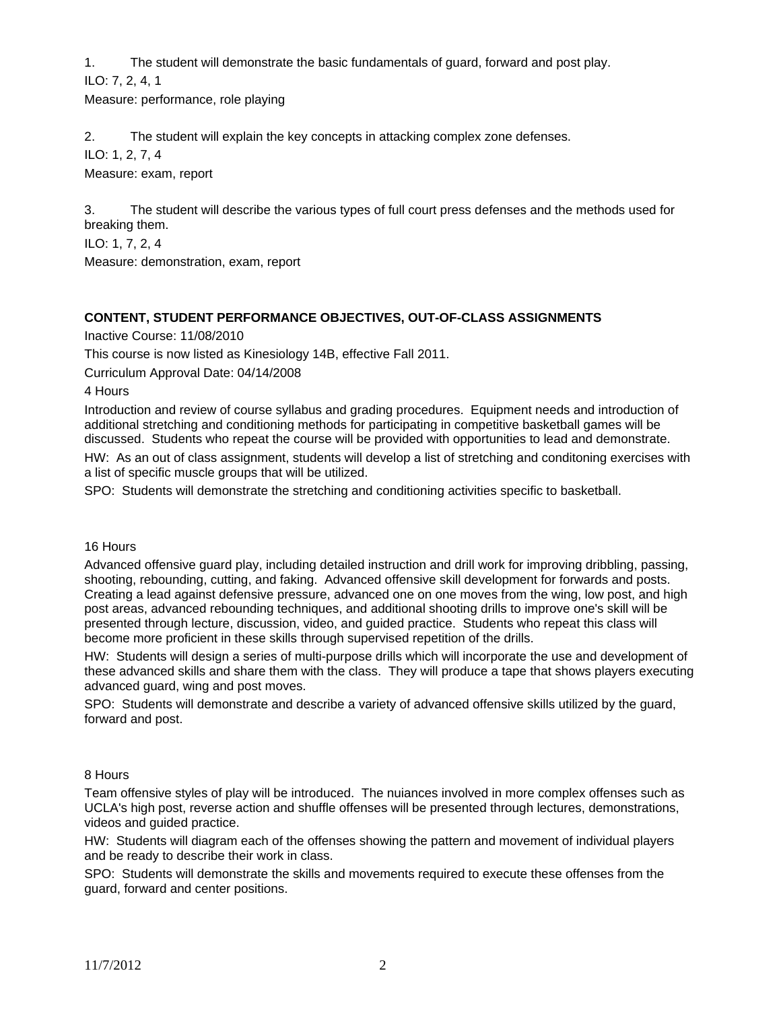1. The student will demonstrate the basic fundamentals of guard, forward and post play.

ILO: 7, 2, 4, 1

Measure: performance, role playing

2. The student will explain the key concepts in attacking complex zone defenses.

ILO: 1, 2, 7, 4

Measure: exam, report

3. The student will describe the various types of full court press defenses and the methods used for breaking them.

ILO: 1, 7, 2, 4

Measure: demonstration, exam, report

# **CONTENT, STUDENT PERFORMANCE OBJECTIVES, OUT-OF-CLASS ASSIGNMENTS**

Inactive Course: 11/08/2010

This course is now listed as Kinesiology 14B, effective Fall 2011.

Curriculum Approval Date: 04/14/2008

4 Hours

Introduction and review of course syllabus and grading procedures. Equipment needs and introduction of additional stretching and conditioning methods for participating in competitive basketball games will be discussed. Students who repeat the course will be provided with opportunities to lead and demonstrate.

HW: As an out of class assignment, students will develop a list of stretching and conditoning exercises with a list of specific muscle groups that will be utilized.

SPO: Students will demonstrate the stretching and conditioning activities specific to basketball.

## 16 Hours

Advanced offensive guard play, including detailed instruction and drill work for improving dribbling, passing, shooting, rebounding, cutting, and faking. Advanced offensive skill development for forwards and posts. Creating a lead against defensive pressure, advanced one on one moves from the wing, low post, and high post areas, advanced rebounding techniques, and additional shooting drills to improve one's skill will be presented through lecture, discussion, video, and guided practice. Students who repeat this class will become more proficient in these skills through supervised repetition of the drills.

HW: Students will design a series of multi-purpose drills which will incorporate the use and development of these advanced skills and share them with the class. They will produce a tape that shows players executing advanced guard, wing and post moves.

SPO: Students will demonstrate and describe a variety of advanced offensive skills utilized by the guard, forward and post.

# 8 Hours

Team offensive styles of play will be introduced. The nuiances involved in more complex offenses such as UCLA's high post, reverse action and shuffle offenses will be presented through lectures, demonstrations, videos and guided practice.

HW: Students will diagram each of the offenses showing the pattern and movement of individual players and be ready to describe their work in class.

SPO: Students will demonstrate the skills and movements required to execute these offenses from the guard, forward and center positions.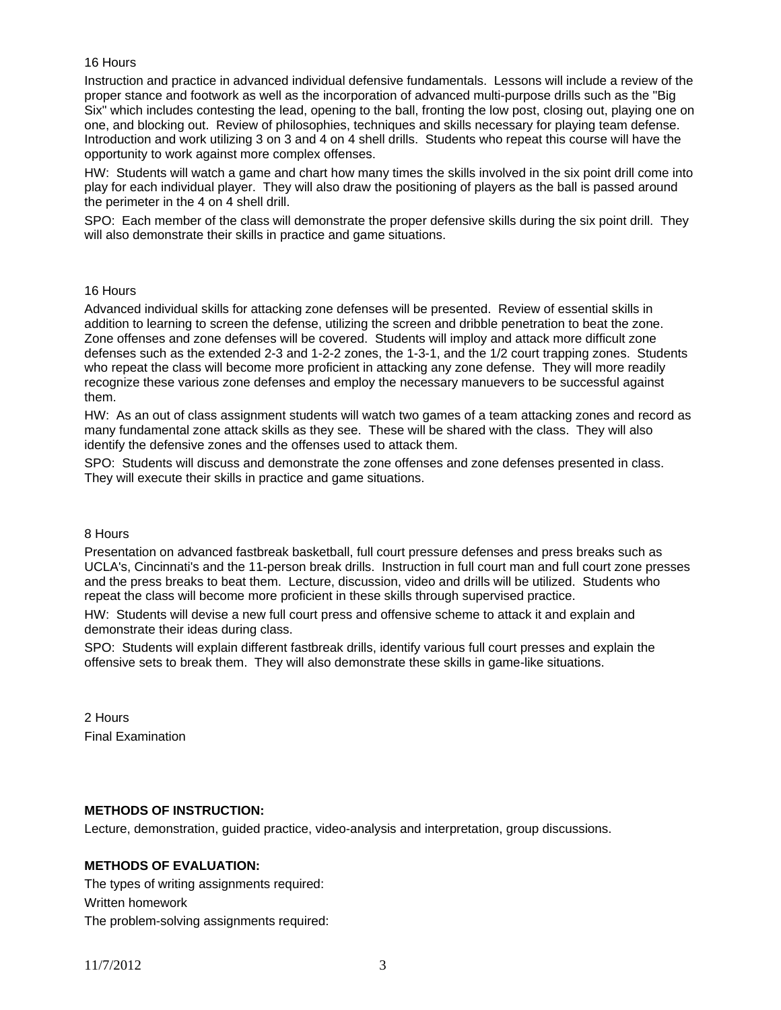## 16 Hours

Instruction and practice in advanced individual defensive fundamentals. Lessons will include a review of the proper stance and footwork as well as the incorporation of advanced multi-purpose drills such as the "Big Six" which includes contesting the lead, opening to the ball, fronting the low post, closing out, playing one on one, and blocking out. Review of philosophies, techniques and skills necessary for playing team defense. Introduction and work utilizing 3 on 3 and 4 on 4 shell drills. Students who repeat this course will have the opportunity to work against more complex offenses.

HW: Students will watch a game and chart how many times the skills involved in the six point drill come into play for each individual player. They will also draw the positioning of players as the ball is passed around the perimeter in the 4 on 4 shell drill.

SPO: Each member of the class will demonstrate the proper defensive skills during the six point drill. They will also demonstrate their skills in practice and game situations.

#### 16 Hours

Advanced individual skills for attacking zone defenses will be presented. Review of essential skills in addition to learning to screen the defense, utilizing the screen and dribble penetration to beat the zone. Zone offenses and zone defenses will be covered. Students will imploy and attack more difficult zone defenses such as the extended 2-3 and 1-2-2 zones, the 1-3-1, and the 1/2 court trapping zones. Students who repeat the class will become more proficient in attacking any zone defense. They will more readily recognize these various zone defenses and employ the necessary manuevers to be successful against them.

HW: As an out of class assignment students will watch two games of a team attacking zones and record as many fundamental zone attack skills as they see. These will be shared with the class. They will also identify the defensive zones and the offenses used to attack them.

SPO: Students will discuss and demonstrate the zone offenses and zone defenses presented in class. They will execute their skills in practice and game situations.

#### 8 Hours

Presentation on advanced fastbreak basketball, full court pressure defenses and press breaks such as UCLA's, Cincinnati's and the 11-person break drills. Instruction in full court man and full court zone presses and the press breaks to beat them. Lecture, discussion, video and drills will be utilized. Students who repeat the class will become more proficient in these skills through supervised practice.

HW: Students will devise a new full court press and offensive scheme to attack it and explain and demonstrate their ideas during class.

SPO: Students will explain different fastbreak drills, identify various full court presses and explain the offensive sets to break them. They will also demonstrate these skills in game-like situations.

2 Hours Final Examination

## **METHODS OF INSTRUCTION:**

Lecture, demonstration, guided practice, video-analysis and interpretation, group discussions.

## **METHODS OF EVALUATION:**

The types of writing assignments required: Written homework The problem-solving assignments required: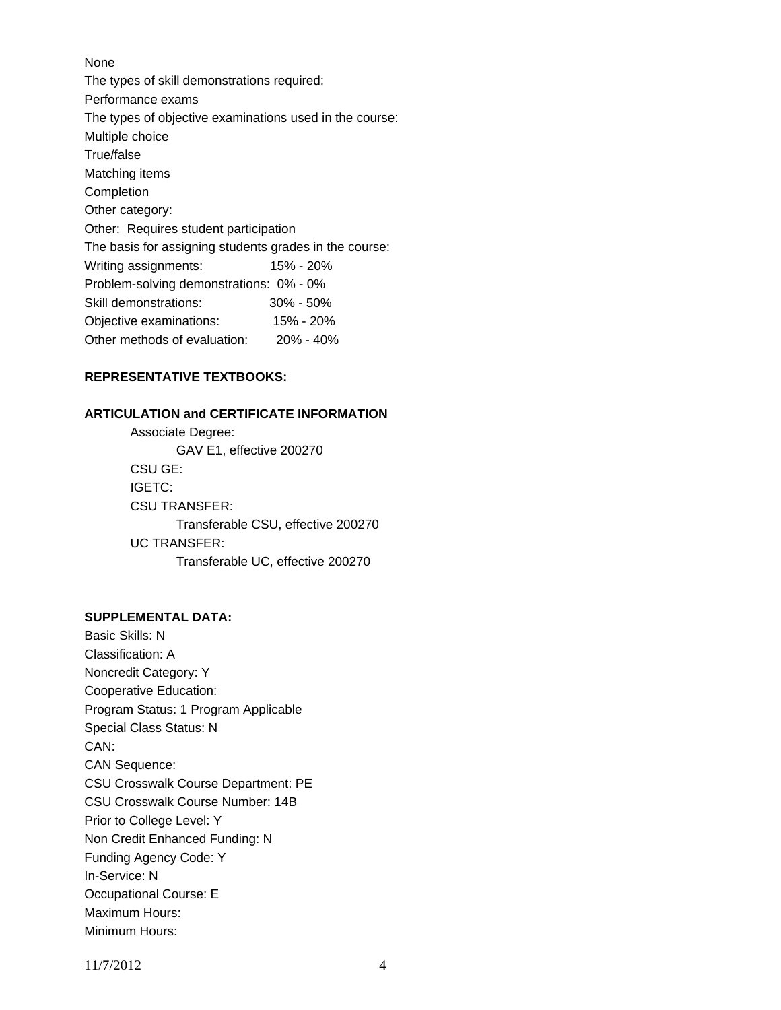# None The types of skill demonstrations required: Performance exams The types of objective examinations used in the course: Multiple choice True/false Matching items **Completion** Other category: Other: Requires student participation The basis for assigning students grades in the course: Writing assignments: 15% - 20% Problem-solving demonstrations: 0% - 0% Skill demonstrations: 30% - 50% Objective examinations: 15% - 20% Other methods of evaluation: 20% - 40%

# **REPRESENTATIVE TEXTBOOKS:**

## **ARTICULATION and CERTIFICATE INFORMATION**

 Associate Degree: GAV E1, effective 200270 CSU GE: IGETC: CSU TRANSFER: Transferable CSU, effective 200270 UC TRANSFER: Transferable UC, effective 200270

## **SUPPLEMENTAL DATA:**

Basic Skills: N Classification: A Noncredit Category: Y Cooperative Education: Program Status: 1 Program Applicable Special Class Status: N CAN: CAN Sequence: CSU Crosswalk Course Department: PE CSU Crosswalk Course Number: 14B Prior to College Level: Y Non Credit Enhanced Funding: N Funding Agency Code: Y In-Service: N Occupational Course: E Maximum Hours: Minimum Hours:

11/7/2012 4